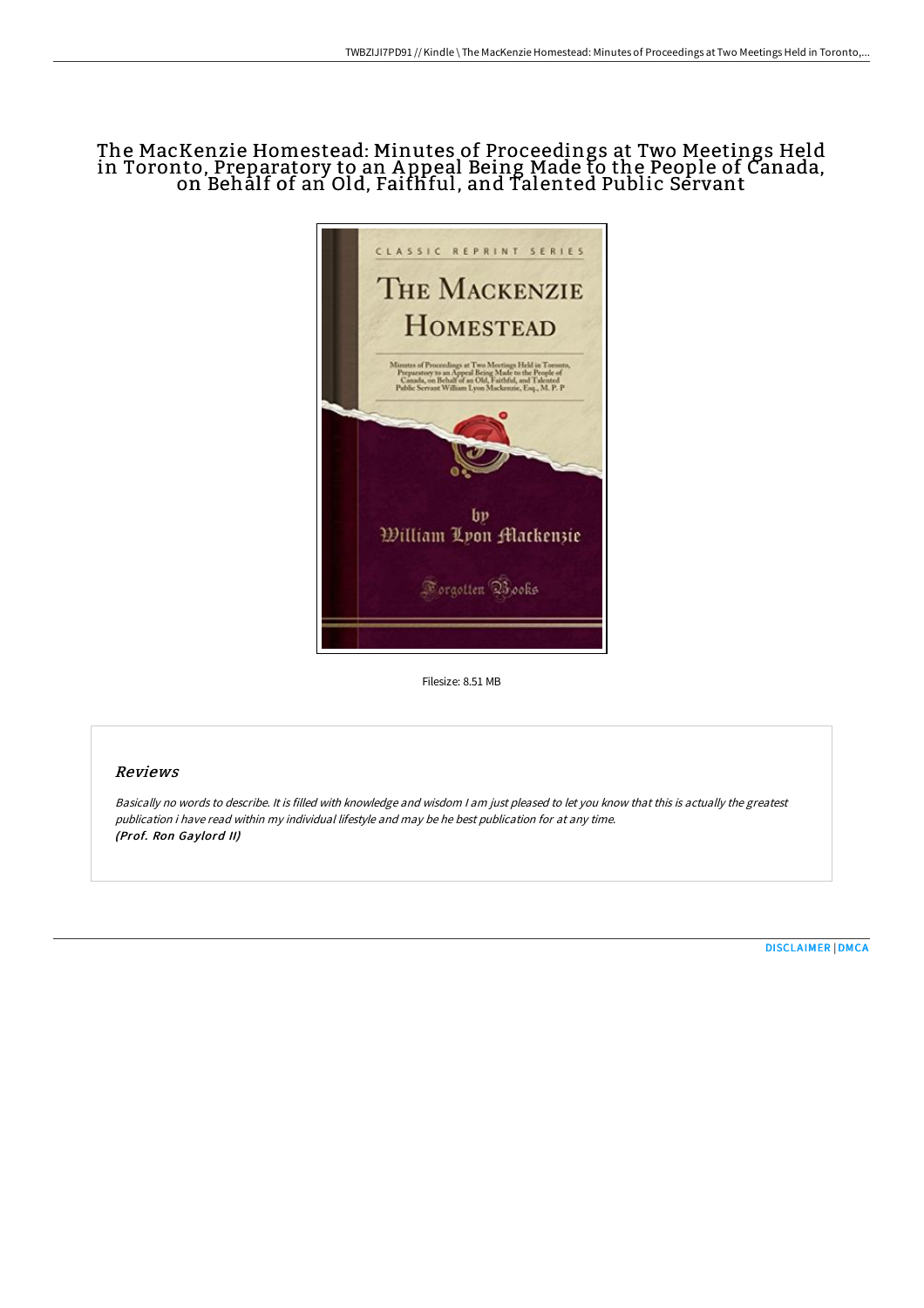# The MacKenzie Homestead: Minutes of Proceedings at Two Meetings Held in Toronto, Preparatory to an A ppeal Being Made to the People of Canada, on Behalf of an Old, Faithful, and Talented Public Servant



Filesize: 8.51 MB

## Reviews

Basically no words to describe. It is filled with knowledge and wisdom <sup>I</sup> am just pleased to let you know that this is actually the greatest publication i have read within my individual lifestyle and may be he best publication for at any time. (Prof. Ron Gaylord II)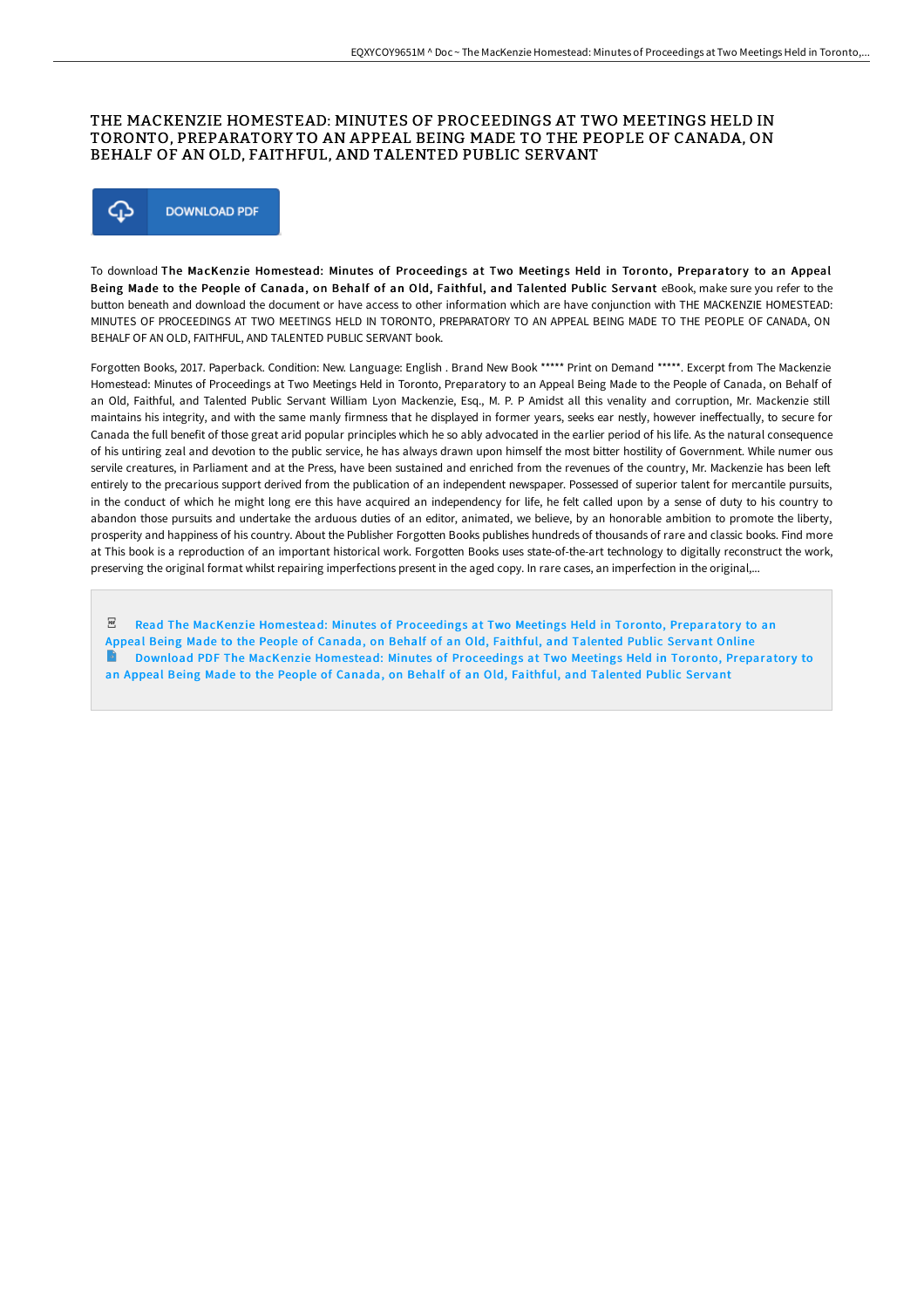### THE MACKENZIE HOMESTEAD: MINUTES OF PROCEEDINGS AT TWO MEETINGS HELD IN TORONTO, PREPARATORY TO AN APPEAL BEING MADE TO THE PEOPLE OF CANADA, ON BEHALF OF AN OLD, FAITHFUL, AND TALENTED PUBLIC SERVANT



To download The MacKenzie Homestead: Minutes of Proceedings at Two Meetings Held in Toronto, Preparatory to an Appeal Being Made to the People of Canada, on Behalf of an Old, Faithful, and Talented Public Servant eBook, make sure you refer to the button beneath and download the document or have access to other information which are have conjunction with THE MACKENZIE HOMESTEAD: MINUTES OF PROCEEDINGS AT TWO MEETINGS HELD IN TORONTO, PREPARATORY TO AN APPEAL BEING MADE TO THE PEOPLE OF CANADA, ON BEHALF OF AN OLD, FAITHFUL, AND TALENTED PUBLIC SERVANT book.

Forgotten Books, 2017. Paperback. Condition: New. Language: English . Brand New Book \*\*\*\*\* Print on Demand \*\*\*\*\*. Excerpt from The Mackenzie Homestead: Minutes of Proceedings at Two Meetings Held in Toronto, Preparatory to an Appeal Being Made to the People of Canada, on Behalf of an Old, Faithful, and Talented Public Servant William Lyon Mackenzie, Esq., M. P. P Amidst all this venality and corruption, Mr. Mackenzie still maintains his integrity, and with the same manly firmness that he displayed in former years, seeks ear nestly, however ineffectually, to secure for Canada the full benefit of those great arid popular principles which he so ably advocated in the earlier period of his life. As the natural consequence of his untiring zeal and devotion to the public service, he has always drawn upon himself the most bitter hostility of Government. While numer ous servile creatures, in Parliament and at the Press, have been sustained and enriched from the revenues of the country, Mr. Mackenzie has been left entirely to the precarious support derived from the publication of an independent newspaper. Possessed of superior talent for mercantile pursuits, in the conduct of which he might long ere this have acquired an independency for life, he felt called upon by a sense of duty to his country to abandon those pursuits and undertake the arduous duties of an editor, animated, we believe, by an honorable ambition to promote the liberty, prosperity and happiness of his country. About the Publisher Forgotten Books publishes hundreds of thousands of rare and classic books. Find more at This book is a reproduction of an important historical work. Forgotten Books uses state-of-the-art technology to digitally reconstruct the work, preserving the original format whilst repairing imperfections present in the aged copy. In rare cases, an imperfection in the original,...

 $_{\rm per}$ Read The MacKenzie Homestead: Minutes of [Proceedings](http://techno-pub.tech/the-mackenzie-homestead-minutes-of-proceedings-a.html) at Two Meetings Held in Toronto, Preparatory to an Appeal Being Made to the People of Canada, on Behalf of an Old, Faithful, and Talented Public Servant Online Download PDF The MacKenzie Homestead: Minutes of [Proceedings](http://techno-pub.tech/the-mackenzie-homestead-minutes-of-proceedings-a.html) at Two Meetings Held in Toronto, Preparatory to an Appeal Being Made to the People of Canada, on Behalf of an Old, Faithful, and Talented Public Servant